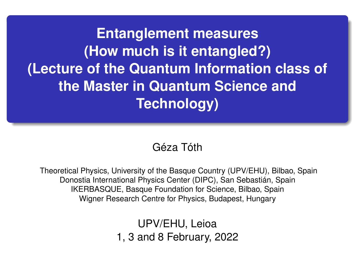**Entanglement measures (How much is it entangled?) (Lecture of the Quantum Information class of the Master in Quantum Science and Technology)**

#### Géza Tóth

Theoretical Physics, University of the Basque Country (UPV/EHU), Bilbao, Spain Donostia International Physics Center (DIPC), San Sebastián, Spain IKERBASQUE, Basque Foundation for Science, Bilbao, Spain Wigner Research Centre for Physics, Budapest, Hungary

> UPV/EHU, Leioa 1, 3 and 8 February, 2022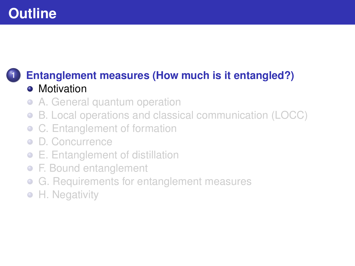#### <span id="page-1-0"></span>**1 [Entanglement measures \(How much is it entangled?\)](#page-1-0) •** [Motivation](#page-1-0)

- [A. General quantum operation](#page-3-0)  $\bullet$
- [B. Local operations and classical communication \(LOCC\)](#page-5-0)  $\bullet$
- [C. Entanglement of formation](#page-8-0)
- [D. Concurrence](#page-12-0)
- [E. Entanglement of distillation](#page-16-0)
- [F. Bound entanglement](#page-19-0)
- [G. Requirements for entanglement measures](#page-25-0)  $\bullet$
- **[H. Negativity](#page-27-0)**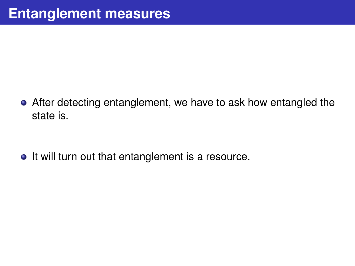After detecting entanglement, we have to ask how entangled the state is.

• It will turn out that entanglement is a resource.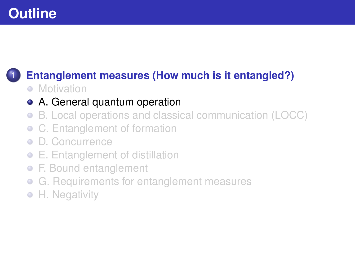# <span id="page-3-0"></span>**1 [Entanglement measures \(How much is it entangled?\)](#page-1-0)**

• [Motivation](#page-1-0)

#### [A. General quantum operation](#page-3-0)

- [B. Local operations and classical communication \(LOCC\)](#page-5-0)  $\bullet$
- [C. Entanglement of formation](#page-8-0)
- [D. Concurrence](#page-12-0)
- [E. Entanglement of distillation](#page-16-0)
- [F. Bound entanglement](#page-19-0)
- [G. Requirements for entanglement measures](#page-25-0)  $\bullet$
- **[H. Negativity](#page-27-0)**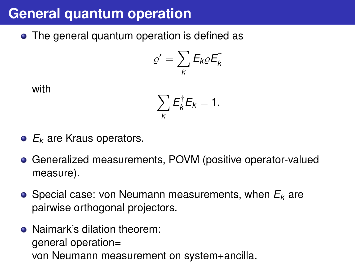# **General quantum operation**

• The general quantum operation is defined as

$$
\varrho' = \sum_{k} E_{k} \varrho E_{k}^{\dagger}
$$

with

$$
\sum_{k} E_{k}^{\dagger} E_{k} = 1.
$$

- *E<sup>k</sup>* are Kraus operators.
- Generalized measurements, POVM (positive operator-valued measure).
- Special case: von Neumann measurements, when *E<sup>k</sup>* are pairwise orthogonal projectors.
- Naimark's dilation theorem: general operation= von Neumann measurement on system+ancilla.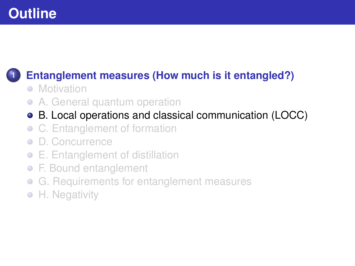### <span id="page-5-0"></span>**1 [Entanglement measures \(How much is it entangled?\)](#page-1-0)**

- [Motivation](#page-1-0)
- [A. General quantum operation](#page-3-0)  $\bullet$
- [B. Local operations and classical communication \(LOCC\)](#page-5-0)
- [C. Entanglement of formation](#page-8-0)
- [D. Concurrence](#page-12-0)
- [E. Entanglement of distillation](#page-16-0)
- [F. Bound entanglement](#page-19-0)
- [G. Requirements for entanglement measures](#page-25-0)  $\bullet$
- **[H. Negativity](#page-27-0)**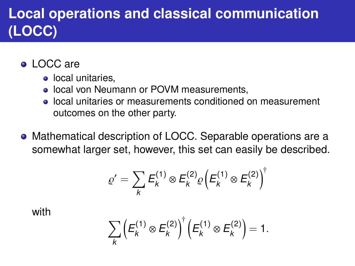# **Local operations and classical communication (LOCC)**

#### **• LOCC are**

- local unitaries.
- **.** local von Neumann or POVM measurements,
- **.** local unitaries or measurements conditioned on measurement outcomes on the other party.
- Mathematical description of LOCC. Separable operations are a somewhat larger set, however, this set can easily be described.

$$
\varrho' = \sum_{k} E_{k}^{(1)} \otimes E_{k}^{(2)} \varrho \left( E_{k}^{(1)} \otimes E_{k}^{(2)} \right)^{\dagger}
$$

with

$$
\sum_{k} \left( E_{k}^{(1)} \otimes E_{k}^{(2)} \right)^{\dagger} \left( E_{k}^{(1)} \otimes E_{k}^{(2)} \right) = 1.
$$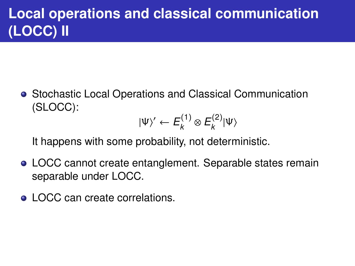# **Local operations and classical communication (LOCC) II**

Stochastic Local Operations and Classical Communication (SLOCC):

$$
|\Psi\rangle' \leftarrow E_k^{(1)} \otimes E_k^{(2)} |\Psi\rangle
$$

It happens with some probability, not deterministic.

- LOCC cannot create entanglement. Separable states remain separable under LOCC.
- LOCC can create correlations.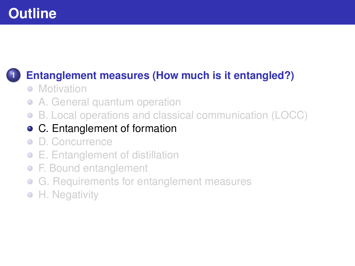### <span id="page-8-0"></span>**1 [Entanglement measures \(How much is it entangled?\)](#page-1-0)**

- [Motivation](#page-1-0)
- [A. General quantum operation](#page-3-0)  $\bullet$
- [B. Local operations and classical communication \(LOCC\)](#page-5-0)  $\bullet$

#### [C. Entanglement of formation](#page-8-0)

- **•** [D. Concurrence](#page-12-0)
- [E. Entanglement of distillation](#page-16-0)
- [F. Bound entanglement](#page-19-0)
- [G. Requirements for entanglement measures](#page-25-0)  $\bullet$
- **[H. Negativity](#page-27-0)**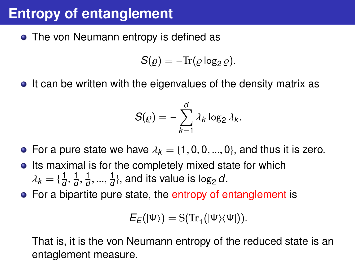# **Entropy of entanglement**

• The von Neumann entropy is defined as

$$
S(\varrho)=-\mathrm{Tr}(\varrho\log_2\varrho).
$$

• It can be written with the eigenvalues of the density matrix as

$$
S(\varrho)=-\sum_{k=1}^d \lambda_k \log_2 \lambda_k.
$$

- For a pure state we have  $\lambda_k = \{1, 0, 0, ..., 0\}$ , and thus it is zero.
- Its maximal is for the completely mixed state for which  $\lambda_k = \{\frac{1}{a}\}$ *d* 1 *d* 1 *d* 1  $\frac{1}{d}$ }, and its value is log<sub>2</sub> *d*.
- For a bipartite pure state, the entropy of entanglement is

$$
E_E(|\Psi\rangle)=S(\mathrm{Tr}_1(|\Psi\rangle\langle\Psi|)).
$$

That is, it is the von Neumann entropy of the reduced state is an entaglement measure.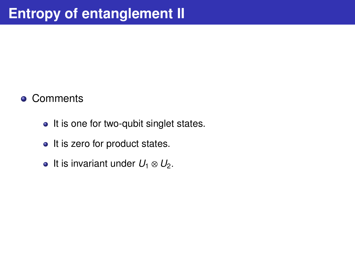#### • Comments

- It is one for two-qubit singlet states.
- It is zero for product states.
- $\bullet$  It is invariant under  $U_1 \otimes U_2$ .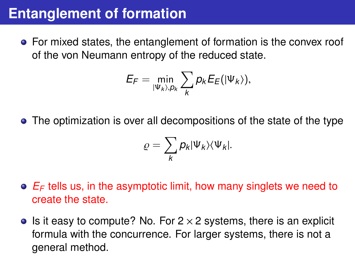### **Entanglement of formation**

• For mixed states, the entanglement of formation is the convex roof of the von Neumann entropy of the reduced state.

$$
E_F=\min_{|\Psi_k\rangle,p_k}\sum_k p_k E_E(|\Psi_k\rangle),
$$

• The optimization is over all decompositions of the state of the type

$$
\varrho=\sum_{k}p_{k}|\Psi_{k}\rangle\langle\Psi_{k}|.
$$

- *E<sup>F</sup>* tells us, in the asymptotic limit, how many singlets we need to create the state.
- Is it easy to compute? No. For  $2 \times 2$  systems, there is an explicit formula with the concurrence. For larger systems, there is not a general method.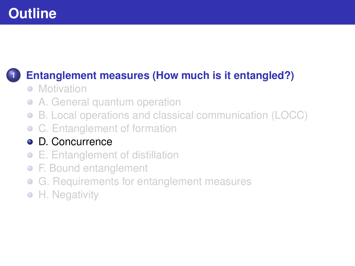### <span id="page-12-0"></span>**1 [Entanglement measures \(How much is it entangled?\)](#page-1-0)**

- [Motivation](#page-1-0)
- [A. General quantum operation](#page-3-0)  $\bullet$
- [B. Local operations and classical communication \(LOCC\)](#page-5-0)  $\bullet$
- [C. Entanglement of formation](#page-8-0)

#### **•** [D. Concurrence](#page-12-0)

- [E. Entanglement of distillation](#page-16-0)
- [F. Bound entanglement](#page-19-0)
- [G. Requirements for entanglement measures](#page-25-0)  $\bullet$
- **[H. Negativity](#page-27-0)**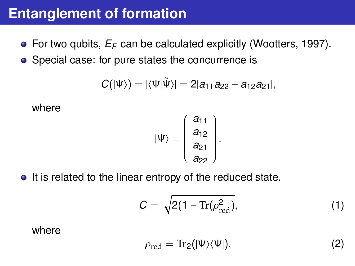#### **Entanglement of formation**

**•** For two qubits,  $E_F$  can be calculated explicitly (Wootters, 1997).

• Special case: for pure states the concurrence is

$$
C(|\Psi\rangle)=|\langle\Psi|\tilde{\Psi}\rangle|=2|a_{11}a_{22}-a_{12}a_{21}|,
$$

where

$$
|\Psi\rangle = \left(\begin{array}{c} a_{11} \\ a_{12} \\ a_{21} \\ a_{22} \end{array}\right).
$$

• It is related to the linear entropy of the reduced state.

$$
C = \sqrt{2(1 - \text{Tr}(\rho_{\text{red}}^2)},\tag{1}
$$

where

$$
\rho_{\rm red} = \mathrm{Tr}_2(|\Psi\rangle\langle\Psi|). \tag{2}
$$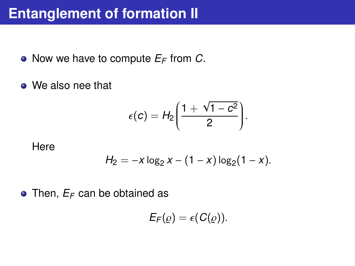### **Entanglement of formation II**

• Now we have to compute  $E_F$  from C.

• We also nee that

$$
\epsilon(c)=H_2\bigg(\frac{1+\sqrt{1-c^2}}{2}\bigg).
$$

**Here** 

$$
H_2 = -x \log_2 x - (1 - x) \log_2 (1 - x).
$$

 $\bullet$  Then,  $E_F$  can be obtained as

$$
E_F(\varrho)=\epsilon(C(\varrho)).
$$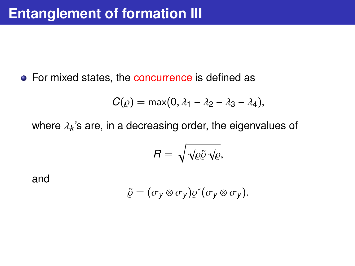• For mixed states, the concurrence is defined as

$$
C(\varrho)=\max(0,\lambda_1-\lambda_2-\lambda_3-\lambda_4),
$$

where  $\lambda_k$ 's are, in a decreasing order, the eigenvalues of

$$
R=\sqrt{\sqrt{\varrho}\tilde{\varrho}}\sqrt{\varrho},
$$

and

$$
\tilde{\varrho}=(\sigma_y\otimes\sigma_y)\varrho^*(\sigma_y\otimes\sigma_y).
$$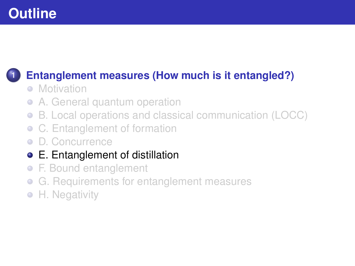### <span id="page-16-0"></span>**1 [Entanglement measures \(How much is it entangled?\)](#page-1-0)**

- [Motivation](#page-1-0)
- [A. General quantum operation](#page-3-0)  $\bullet$
- [B. Local operations and classical communication \(LOCC\)](#page-5-0)  $\bullet$
- [C. Entanglement of formation](#page-8-0)
- [D. Concurrence](#page-12-0)
- [E. Entanglement of distillation](#page-16-0)
- [F. Bound entanglement](#page-19-0)
- [G. Requirements for entanglement measures](#page-25-0)  $\bullet$
- **[H. Negativity](#page-27-0)**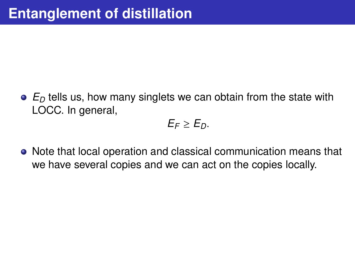*E<sup>D</sup>* tells us, how many singlets we can obtain from the state with LOCC. In general,

$$
E_F\geq E_D.
$$

• Note that local operation and classical communication means that we have several copies and we can act on the copies locally.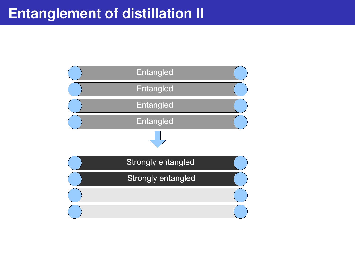### **Entanglement of distillation II**

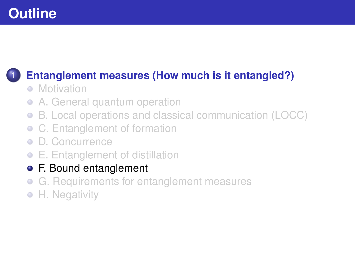### <span id="page-19-0"></span>**1 [Entanglement measures \(How much is it entangled?\)](#page-1-0)**

- [Motivation](#page-1-0)
- [A. General quantum operation](#page-3-0)  $\bullet$
- [B. Local operations and classical communication \(LOCC\)](#page-5-0)  $\bullet$
- [C. Entanglement of formation](#page-8-0)
- [D. Concurrence](#page-12-0)
- [E. Entanglement of distillation](#page-16-0)
- [F. Bound entanglement](#page-19-0)
- [G. Requirements for entanglement measures](#page-25-0)  $\bullet$
- [H. Negativity](#page-27-0)  $\bullet$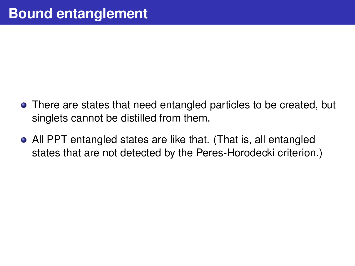- There are states that need entangled particles to be created, but singlets cannot be distilled from them.
- All PPT entangled states are like that. (That is, all entangled states that are not detected by the Peres-Horodecki criterion.)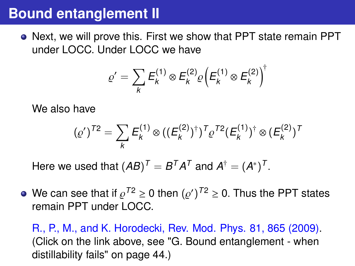### **Bound entanglement II**

Next, we will prove this. First we show that PPT state remain PPT under LOCC. Under LOCC we have

$$
\varrho' = \sum_{k} E_{k}^{(1)} \otimes E_{k}^{(2)} \varrho \left( E_{k}^{(1)} \otimes E_{k}^{(2)} \right)^{\dagger}
$$

We also have

$$
(\varrho')^{T2} = \sum_{k} E_{k}^{(1)} \otimes ((E_{k}^{(2)})^{\dagger})^{T} \varrho^{T2} (E_{k}^{(1)})^{\dagger} \otimes (E_{k}^{(2)})^{T}
$$

Here we used that  $(\pmb{A}\pmb{B})^{\pmb{T}}=\pmb{B}^{\pmb{T}}\pmb{A}^{\pmb{T}}$  and  $\pmb{A}^{\dagger}=(\pmb{A}^*)^{\pmb{T}}$ 

We can see that if  $\varrho^{72} \geq 0$  then  $(\varrho')^{72} \geq 0$ . Thus the PPT states remain PPT under LOCC. remain PPT under LOCC.

[R., P., M., and K. Horodecki, Rev. Mod. Phys. 81, 865 \(2009\).](https://arxiv.org/abs/quant-ph/0702225) (Click on the link above, see "G. Bound entanglement - when distillability fails" on page 44.)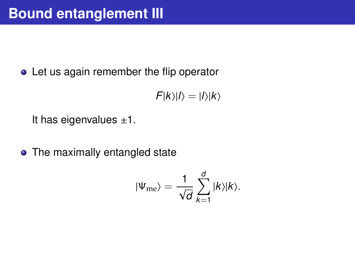• Let us again remember the flip operator

$$
F|k\rangle|l\rangle=|l\rangle|k\rangle
$$

It has eigenvalues  $\pm 1$ .

• The maximally entangled state

$$
|\Psi_{\text{me}}\rangle = \frac{1}{\sqrt{d}}\sum_{k=1}^d |k\rangle |k\rangle.
$$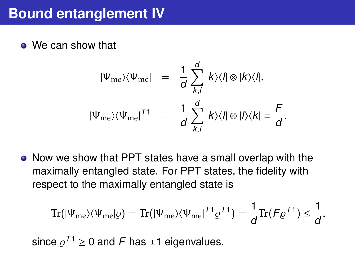• We can show that

$$
|\Psi_{\text{me}}\rangle\langle\Psi_{\text{me}}| = \frac{1}{d} \sum_{k,l}^{d} |k\rangle\langle l| \otimes |k\rangle\langle l|,
$$
  

$$
|\Psi_{\text{me}}\rangle\langle\Psi_{\text{me}}|^{T1} = \frac{1}{d} \sum_{k,l}^{d} |k\rangle\langle l| \otimes |l\rangle\langle k| \equiv \frac{F}{d}.
$$

Now we show that PPT states have a small overlap with the maximally entangled state. For PPT states, the fidelity with respect to the maximally entangled state is

$$
\mathrm{Tr} \big(|\Psi_{\mathrm{me}}\rangle \langle \Psi_{\mathrm{me}}|\varrho\big)=\mathrm{Tr}\big(|\Psi_{\mathrm{me}}\rangle \langle \Psi_{\mathrm{me}}|^{7}{}^{1}\varrho^{7}{}^{1}\big)=\frac{1}{d}\mathrm{Tr}\big(\mathit{F}\varrho^{7}{}^{1}\big)\leq\frac{1}{d},
$$

since  $e^{71} \geq 0$  and F has ±1 eigenvalues.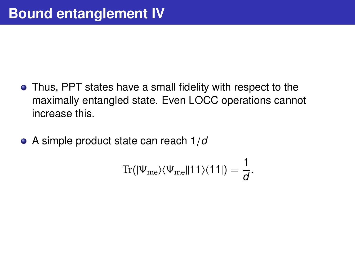- Thus, PPT states have a small fidelity with respect to the maximally entangled state. Even LOCC operations cannot increase this.
- A simple product state can reach 1/*<sup>d</sup>*

$$
\mathrm{Tr}\big(|\Psi_{\mathrm{me}}\rangle\langle\Psi_{\mathrm{me}}\|11\rangle\langle11|\big)=\frac{1}{d}.
$$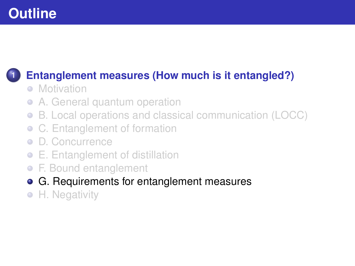### <span id="page-25-0"></span>**1 [Entanglement measures \(How much is it entangled?\)](#page-1-0)**

- [Motivation](#page-1-0)
- [A. General quantum operation](#page-3-0)  $\bullet$
- [B. Local operations and classical communication \(LOCC\)](#page-5-0)  $\bullet$
- [C. Entanglement of formation](#page-8-0)
- [D. Concurrence](#page-12-0)
- [E. Entanglement of distillation](#page-16-0)
- [F. Bound entanglement](#page-19-0)
- [G. Requirements for entanglement measures](#page-25-0)
- [H. Negativity](#page-27-0)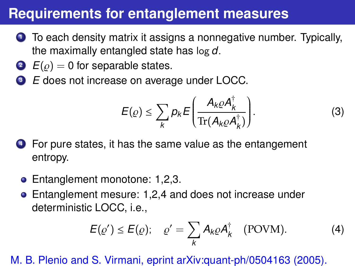### **Requirements for entanglement measures**

- **<sup>1</sup>** To each density matrix it assigns a nonnegative number. Typically, the maximally entangled state has log *<sup>d</sup>*.
- $E(\rho) = 0$  for separable states.
- **<sup>3</sup>** *E* does not increase on average under LOCC.

$$
E(\varrho) \leq \sum_{k} p_{k} E\left(\frac{A_{k}\varrho A_{k}^{\dagger}}{\operatorname{Tr}(A_{k}\varrho A_{k}^{\dagger})}\right).
$$
 (3)

- **<sup>4</sup>** For pure states, it has the same value as the entangement entropy.
	- Entanglement monotone: 1,2,3.
	- Entanglement mesure: 1,2,4 and does not increase under deterministic LOCC, i.e.,

$$
E(\varrho') \le E(\varrho); \quad \varrho' = \sum_{k} A_{k} \varrho A_{k}^{\dagger} \quad \text{(POVM)}.
$$
 (4)

M. B. Plenio and S. Virmani, eprint [arXiv:quant-ph/0504163 \(2005\).](https://arxiv.org/abs/quant-ph/0504163)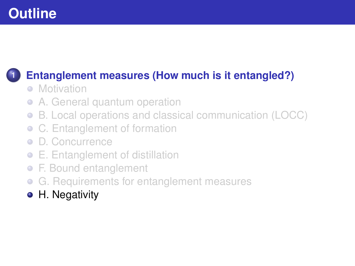### <span id="page-27-0"></span>**1 [Entanglement measures \(How much is it entangled?\)](#page-1-0)**

- [Motivation](#page-1-0)
- [A. General quantum operation](#page-3-0)  $\bullet$
- [B. Local operations and classical communication \(LOCC\)](#page-5-0)  $\bullet$
- [C. Entanglement of formation](#page-8-0)
- [D. Concurrence](#page-12-0)
- [E. Entanglement of distillation](#page-16-0)
- [F. Bound entanglement](#page-19-0)
- [G. Requirements for entanglement measures](#page-25-0)  $\bullet$
- [H. Negativity](#page-27-0)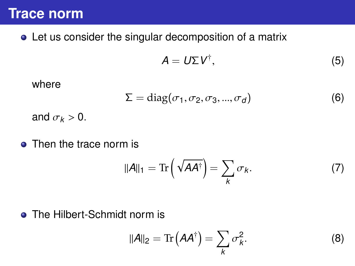#### **Trace norm**

Let us consider the singular decomposition of a matrix

$$
A = U \Sigma V^{\dagger}, \tag{5}
$$

where

$$
\Sigma = \text{diag}(\sigma_1, \sigma_2, \sigma_3, ..., \sigma_d) \tag{6}
$$

and  $\sigma_k > 0$ .

• Then the trace norm is

$$
||A||_1 = \text{Tr}\left(\sqrt{A A^\dagger}\right) = \sum_k \sigma_k. \tag{7}
$$

• The Hilbert-Schmidt norm is

$$
\|\mathbf{A}\|_2 = \text{Tr}\left(\mathbf{A}\mathbf{A}^\dagger\right) = \sum_k \sigma_k^2. \tag{8}
$$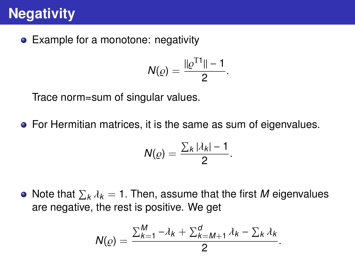# **Negativity**

• Example for a monotone: negativity

$$
N(\varrho) = \frac{\|\varrho^{T1}\| - 1}{2}.
$$

Trace norm=sum of singular values.

**•** For Hermitian matrices, it is the same as sum of eigenvalues.

$$
N(\varrho)=\frac{\sum_{k}|\lambda_{k}|-1}{2}
$$

Note that  $\sum_{k} \lambda_{k} = 1$ . Then, assume that the first *M* eigenvalues are people the rest is positive. We get are negative, the rest is positive. We get

$$
N(\varrho)=\frac{\sum_{k=1}^M-\lambda_k+\sum_{k=M+1}^d\lambda_k-\sum_k\lambda_k}{2}.
$$